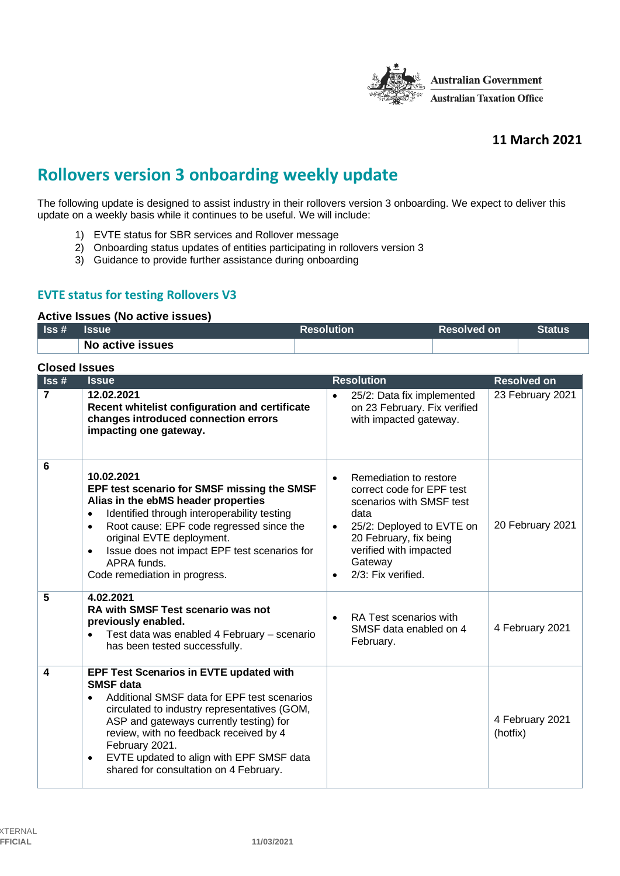

## **11 March 2021**

# **Rollovers version 3 onboarding weekly update**

The following update is designed to assist industry in their rollovers version 3 onboarding. We expect to deliver this update on a weekly basis while it continues to be useful. We will include:

- 1) EVTE status for SBR services and Rollover message
- 2) Onboarding status updates of entities participating in rollovers version 3
- 3) Guidance to provide further assistance during onboarding

### **EVTE status for testing Rollovers V3**

#### **Active Issues (No active issues)**

| $\textsf{lss}\,\texttt{\#}$ | <b>Issue</b>     | <b>Resolution</b> | 'Resolved on | <b>Status</b> |
|-----------------------------|------------------|-------------------|--------------|---------------|
|                             | No active issues |                   |              |               |

| <b>Closed Issues</b>        |                                                                                                                                                                                                                                                                                                                                                                                          |                                                                                                                                                                                                                                     |                             |  |
|-----------------------------|------------------------------------------------------------------------------------------------------------------------------------------------------------------------------------------------------------------------------------------------------------------------------------------------------------------------------------------------------------------------------------------|-------------------------------------------------------------------------------------------------------------------------------------------------------------------------------------------------------------------------------------|-----------------------------|--|
| $\textsf{lss}\,\texttt{\#}$ | <b>Issue</b>                                                                                                                                                                                                                                                                                                                                                                             | <b>Resolution</b>                                                                                                                                                                                                                   | <b>Resolved on</b>          |  |
| $\overline{7}$              | 12.02.2021<br>Recent whitelist configuration and certificate<br>changes introduced connection errors<br>impacting one gateway.                                                                                                                                                                                                                                                           | 25/2: Data fix implemented<br>$\bullet$<br>on 23 February. Fix verified<br>with impacted gateway.                                                                                                                                   | 23 February 2021            |  |
| 6                           | 10.02.2021<br>EPF test scenario for SMSF missing the SMSF<br>Alias in the ebMS header properties<br>Identified through interoperability testing<br>$\bullet$<br>Root cause: EPF code regressed since the<br>$\bullet$<br>original EVTE deployment.<br>Issue does not impact EPF test scenarios for<br>$\bullet$<br>APRA funds.<br>Code remediation in progress.                          | Remediation to restore<br>$\bullet$<br>correct code for EPF test<br>scenarios with SMSF test<br>data<br>25/2: Deployed to EVTE on<br>20 February, fix being<br>verified with impacted<br>Gateway<br>2/3: Fix verified.<br>$\bullet$ | 20 February 2021            |  |
| 5                           | 4.02.2021<br><b>RA with SMSF Test scenario was not</b><br>previously enabled.<br>Test data was enabled 4 February - scenario<br>$\bullet$<br>has been tested successfully.                                                                                                                                                                                                               | RA Test scenarios with<br>SMSF data enabled on 4<br>February.                                                                                                                                                                       | 4 February 2021             |  |
| 4                           | <b>EPF Test Scenarios in EVTE updated with</b><br><b>SMSF</b> data<br>Additional SMSF data for EPF test scenarios<br>$\bullet$<br>circulated to industry representatives (GOM,<br>ASP and gateways currently testing) for<br>review, with no feedback received by 4<br>February 2021.<br>EVTE updated to align with EPF SMSF data<br>$\bullet$<br>shared for consultation on 4 February. |                                                                                                                                                                                                                                     | 4 February 2021<br>(hotfix) |  |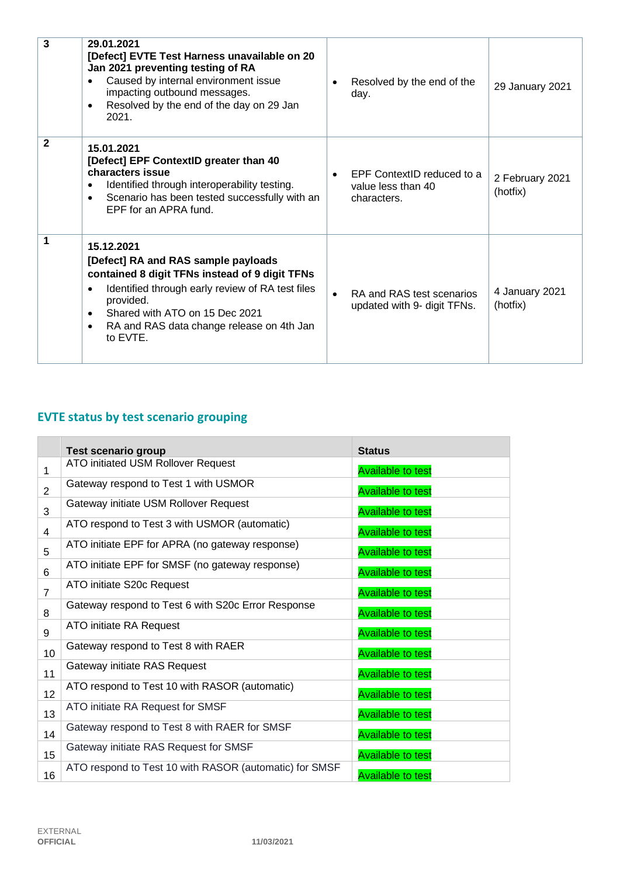| 3            | 29.01.2021<br>[Defect] EVTE Test Harness unavailable on 20<br>Jan 2021 preventing testing of RA<br>Caused by internal environment issue<br>impacting outbound messages.<br>Resolved by the end of the day on 29 Jan<br>٠<br>2021.                                                              | Resolved by the end of the<br>day.                              | 29 January 2021             |
|--------------|------------------------------------------------------------------------------------------------------------------------------------------------------------------------------------------------------------------------------------------------------------------------------------------------|-----------------------------------------------------------------|-----------------------------|
| $\mathbf{2}$ | 15.01.2021<br>[Defect] EPF ContextID greater than 40<br>characters issue<br>Identified through interoperability testing.<br>Scenario has been tested successfully with an<br>$\bullet$<br>EPF for an APRA fund.                                                                                | EPF ContextID reduced to a<br>value less than 40<br>characters. | 2 February 2021<br>(hotfix) |
| 1            | 15.12.2021<br>[Defect] RA and RAS sample payloads<br>contained 8 digit TFNs instead of 9 digit TFNs<br>Identified through early review of RA test files<br>٠<br>provided.<br>Shared with ATO on 15 Dec 2021<br>$\bullet$<br>RA and RAS data change release on 4th Jan<br>$\bullet$<br>to EVTE. | RA and RAS test scenarios<br>updated with 9- digit TFNs.        | 4 January 2021<br>(hotfix)  |

# **EVTE status by test scenario grouping**

|                 | <b>Test scenario group</b>                             | <b>Status</b>            |
|-----------------|--------------------------------------------------------|--------------------------|
| 1               | ATO initiated USM Rollover Request                     | <b>Available to test</b> |
| $\overline{2}$  | Gateway respond to Test 1 with USMOR                   | <b>Available to test</b> |
| 3               | Gateway initiate USM Rollover Request                  | <b>Available to test</b> |
| 4               | ATO respond to Test 3 with USMOR (automatic)           | <b>Available to test</b> |
| 5               | ATO initiate EPF for APRA (no gateway response)        | <b>Available to test</b> |
| 6               | ATO initiate EPF for SMSF (no gateway response)        | <b>Available to test</b> |
| $\overline{7}$  | ATO initiate S20c Request                              | <b>Available to test</b> |
| 8               | Gateway respond to Test 6 with S20c Error Response     | <b>Available to test</b> |
| 9               | ATO initiate RA Request                                | <b>Available to test</b> |
| 10 <sup>°</sup> | Gateway respond to Test 8 with RAER                    | <b>Available to test</b> |
| 11              | Gateway initiate RAS Request                           | <b>Available to test</b> |
| 12              | ATO respond to Test 10 with RASOR (automatic)          | <b>Available to test</b> |
| 13              | ATO initiate RA Request for SMSF                       | <b>Available to test</b> |
| 14              | Gateway respond to Test 8 with RAER for SMSF           | <b>Available to test</b> |
| 15              | Gateway initiate RAS Request for SMSF                  | <b>Available to test</b> |
| 16              | ATO respond to Test 10 with RASOR (automatic) for SMSF | <b>Available to test</b> |